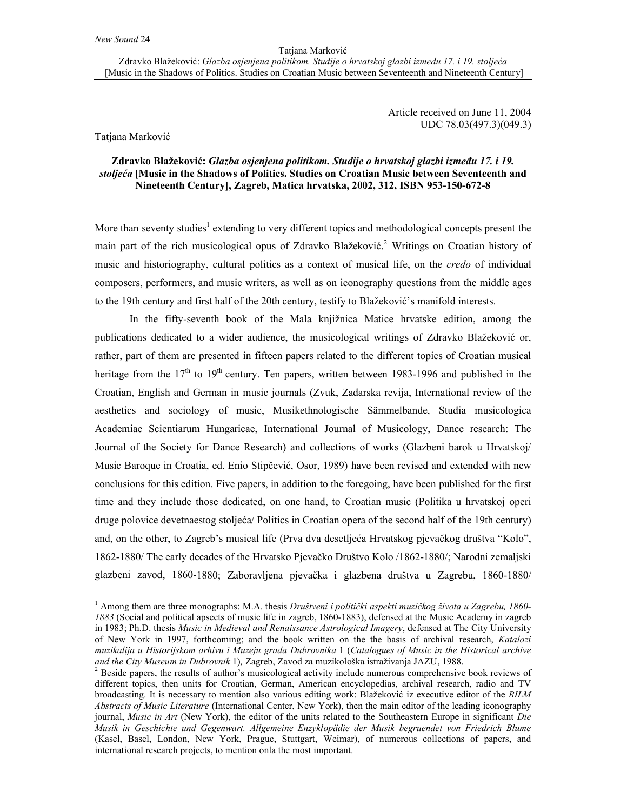Article received on June 11, 2004 UDC 78.03(497.3)(049.3)

Tatjana Marković

 $\overline{\phantom{a}}$ 

## **Zdravko Blažeković:** *Glazba osjenjena politikom. Studije o hrvatskoj glazbi između 17. i 19. stoljeća* **[Music in the Shadows of Politics. Studies on Croatian Music between Seventeenth and Nineteenth Century], Zagreb, Matica hrvatska, 2002, 312, ISBN 953-150-672-8**

More than seventy studies<sup>1</sup> extending to very different topics and methodological concepts present the main part of the rich musicological opus of Zdravko Blažeković.<sup>2</sup> Writings on Croatian history of music and historiography, cultural politics as a context of musical life, on the *credo* of individual composers, performers, and music writers, as well as on iconography questions from the middle ages to the 19th century and first half of the 20th century, testify to Blažeković's manifold interests.

In the fifty-seventh book of the Mala knjižnica Matice hrvatske edition, among the publications dedicated to a wider audience, the musicological writings of Zdravko Blažeković or, rather, part of them are presented in fifteen papers related to the different topics of Croatian musical heritage from the  $17<sup>th</sup>$  to  $19<sup>th</sup>$  century. Ten papers, written between 1983-1996 and published in the Croatian, English and German in music journals (Zvuk, Zadarska revija, International review of the aesthetics and sociology of music, Musikethnologische Sämmelbande, Studia musicologica Academiae Scientiarum Hungaricae, International Journal of Musicology, Dance research: The Journal of the Society for Dance Research) and collections of works (Glazbeni barok u Hrvatskoj/ Music Baroque in Croatia, ed. Enio Stipčević, Osor, 1989) have been revised and extended with new conclusions for this edition. Five papers, in addition to the foregoing, have been published for the first time and they include those dedicated, on one hand, to Croatian music (Politika u hrvatskoj operi druge polovice devetnaestog stoljeća/ Politics in Croatian opera of the second half of the 19th century) and, on the other, to Zagreb's musical life (Prva dva desetljeća Hrvatskog pjevačkog društva "Kolo", 1862-1880/ The early decades of the Hrvatsko Pjevačko Društvo Kolo /1862-1880/; Narodni zemaljski glazbeni zavod, 1860-1880; Zaboravljena pjevačka i glazbena društva u Zagrebu, 1860-1880/

<sup>1</sup> Among them are three monographs: M.A. thesis *Društveni i politički aspekti muzičkog života u Zagrebu, 1860- 1883* (Social and political apsects of music life in zagreb, 1860-1883), defensed at the Music Academy in zagreb in 1983; Ph.D. thesis *Music in Medieval and Renaissance Astrological Imagery*, defensed at The City University of New York in 1997, forthcoming; and the book written on the the basis of archival research, *Katalozi muzikalija u Historijskom arhivu i Muzeju grada Dubrovnika* 1 (*Catalogues of Music in the Historical archive and the City Museum in Dubrovnik* 1)*,* Zagreb, Zavod za muzikološka istraživanja JAZU, 1988. 2

<sup>&</sup>lt;sup>2</sup> Beside papers, the results of author's musicological activity include numerous comprehensive book reviews of different topics, then units for Croatian, German, American encyclopedias, archival research, radio and TV broadcasting. It is necessary to mention also various editing work: Blažeković iz executive editor of the *RILM Abstracts of Music Literature* (International Center, New York), then the main editor of the leading iconography journal, *Music in Art* (New York), the editor of the units related to the Southeastern Europe in significant *Die Musik in Geschichte und Gegenwart. Allgemeine Enzyklopädie der Musik begruendet von Friedrich Blume* (Kasel, Basel, London, New York, Prague, Stuttgart, Weimar), of numerous collections of papers, and international research projects, to mention onla the most important.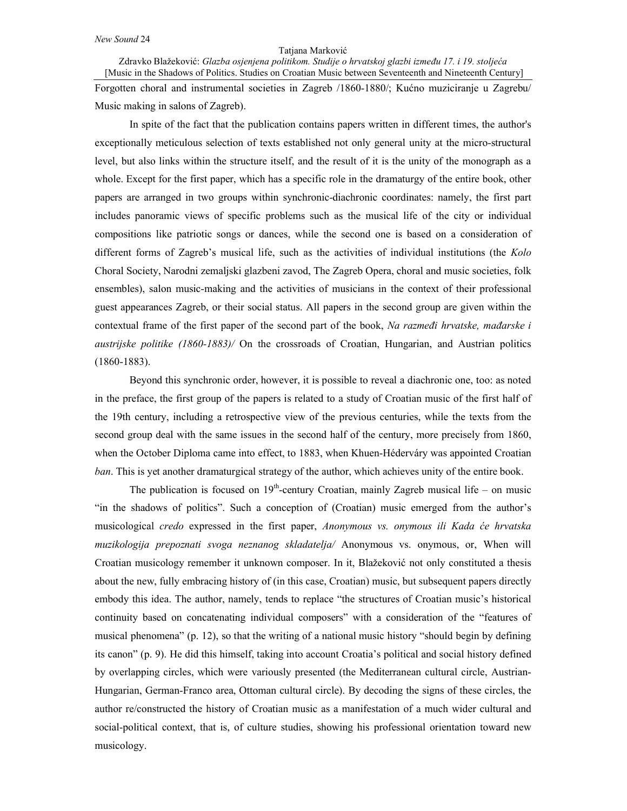## Tatjana Marković

Zdravko Blažeković: *Glazba osjenjena politikom. Studije o hrvatskoj glazbi između 17. i 19. stoljeća* [Music in the Shadows of Politics. Studies on Croatian Music between Seventeenth and Nineteenth Century]

Forgotten choral and instrumental societies in Zagreb /1860-1880/; Kućno muziciranje u Zagrebu/ Music making in salons of Zagreb).

In spite of the fact that the publication contains papers written in different times, the author's exceptionally meticulous selection of texts established not only general unity at the micro-structural level, but also links within the structure itself, and the result of it is the unity of the monograph as a whole. Except for the first paper, which has a specific role in the dramaturgy of the entire book, other papers are arranged in two groups within synchronic-diachronic coordinates: namely, the first part includes panoramic views of specific problems such as the musical life of the city or individual compositions like patriotic songs or dances, while the second one is based on a consideration of different forms of Zagreb's musical life, such as the activities of individual institutions (the *Kolo* Choral Society, Narodni zemaljski glazbeni zavod, The Zagreb Opera, choral and music societies, folk ensembles), salon music-making and the activities of musicians in the context of their professional guest appearances Zagreb, or their social status. All papers in the second group are given within the contextual frame of the first paper of the second part of the book, *Na razmeđi hrvatske, mađarske i austrijske politike (1860-1883)/* On the crossroads of Croatian, Hungarian, and Austrian politics (1860-1883).

Beyond this synchronic order, however, it is possible to reveal a diachronic one, too: as noted in the preface, the first group of the papers is related to a study of Croatian music of the first half of the 19th century, including a retrospective view of the previous centuries, while the texts from the second group deal with the same issues in the second half of the century, more precisely from 1860, when the October Diploma came into effect, to 1883, when Khuen-Héderváry was appointed Croatian *ban*. This is yet another dramaturgical strategy of the author, which achieves unity of the entire book.

The publication is focused on  $19<sup>th</sup>$ -century Croatian, mainly Zagreb musical life – on music "in the shadows of politics". Such a conception of (Croatian) music emerged from the author's musicological *credo* expressed in the first paper, *Anonymous vs. onymous ili Kada će hrvatska muzikologija prepoznati svoga neznanog skladatelja/* Anonymous vs. onymous, or, When will Croatian musicology remember it unknown composer. In it, Blažeković not only constituted a thesis about the new, fully embracing history of (in this case, Croatian) music, but subsequent papers directly embody this idea. The author, namely, tends to replace "the structures of Croatian music's historical continuity based on concatenating individual composers" with a consideration of the "features of musical phenomena" (p. 12), so that the writing of a national music history "should begin by defining its canon" (p. 9). He did this himself, taking into account Croatia's political and social history defined by overlapping circles, which were variously presented (the Mediterranean cultural circle, Austrian-Hungarian, German-Franco area, Ottoman cultural circle). By decoding the signs of these circles, the author re/constructed the history of Croatian music as a manifestation of a much wider cultural and social-political context, that is, of culture studies, showing his professional orientation toward new musicology.